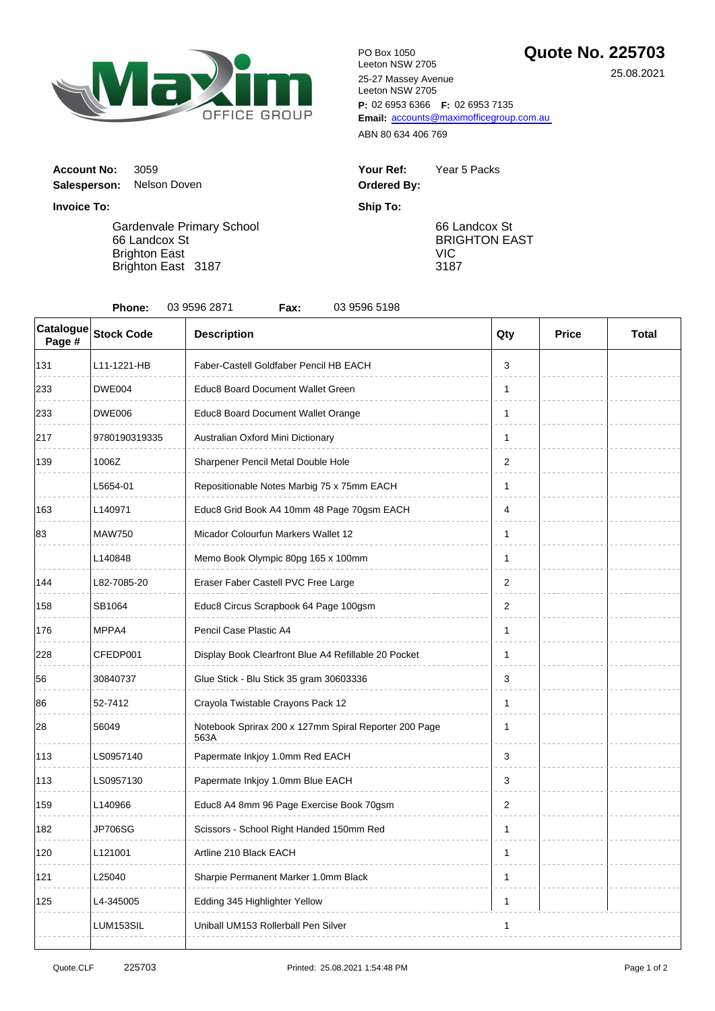

**P:** 02 6953 6366 **F:** 02 6953 7135 Email: [accou](mailto:accounts@maximofficegroup.com.au)nts@maximofficegroup.com.au PO Box 1050 Leeton NSW 2705 25-27 Massey Avenue Leeton NSW 2705

ABN 80 634 406 769

| Your Ref:   | Year 5 Packs |
|-------------|--------------|
| Ordered By: |              |

66 Landcox St BRIGHTON EAST VIC 3187

**Invoice To: Ship To:** Gardenvale Primary School 66 Landcox St

**Account No: 3059** 

**Salesperson:** Nelson Doven

Brighton East Brighton East 3187

| Catalogue<br>Page #            | <b>Stock Code</b> | <b>Description</b>                                            | Qty | <b>Price</b> | <b>Total</b> |
|--------------------------------|-------------------|---------------------------------------------------------------|-----|--------------|--------------|
| 131                            | L11-1221-HB       | Faber-Castell Goldfaber Pencil HB EACH                        | 3   |              |              |
| 233                            | <b>DWE004</b>     | Educ8 Board Document Wallet Green                             | 1   |              |              |
| 233                            | <b>DWE006</b>     | Educ8 Board Document Wallet Orange                            | 1   |              |              |
| 217                            | 9780190319335     | Australian Oxford Mini Dictionary                             | 1   |              |              |
| 139                            | 1006Z             | Sharpener Pencil Metal Double Hole                            | 2   |              |              |
|                                | L5654-01          | Repositionable Notes Marbig 75 x 75mm EACH                    | 1   |              |              |
| 163                            | L140971           | Educ8 Grid Book A4 10mm 48 Page 70gsm EACH                    | 4   |              |              |
| 83<br><b>MAW750</b><br>L140848 |                   | Micador Colourfun Markers Wallet 12                           | 1   |              |              |
|                                |                   | Memo Book Olympic 80pg 165 x 100mm                            | 1   |              |              |
| 144                            | L82-7085-20       | Eraser Faber Castell PVC Free Large                           | 2   |              |              |
| 158                            | SB1064            | Educ8 Circus Scrapbook 64 Page 100gsm                         | 2   |              |              |
| 176                            | MPPA4             | Pencil Case Plastic A4                                        | 1   |              |              |
| 228                            | CFEDP001          | Display Book Clearfront Blue A4 Refillable 20 Pocket          | 1   |              |              |
| 56                             | 30840737          | Glue Stick - Blu Stick 35 gram 30603336                       | 3   |              |              |
| 86                             | 52-7412           | Crayola Twistable Crayons Pack 12                             | 1   |              |              |
| 28                             | 56049             | Notebook Sprirax 200 x 127mm Spiral Reporter 200 Page<br>563A | 1   |              |              |
| 113                            | LS0957140         | Papermate Inkjoy 1.0mm Red EACH                               | 3   |              |              |
| 113                            | LS0957130         | Papermate Inkjoy 1.0mm Blue EACH                              | 3   |              |              |
| 159                            | L140966           | Educ8 A4 8mm 96 Page Exercise Book 70gsm                      | 2   |              |              |
| 182                            | <b>JP706SG</b>    | Scissors - School Right Handed 150mm Red                      | 1   |              |              |
| 120                            | L121001           | Artline 210 Black EACH                                        | 1   |              |              |
| 121                            | L25040            | Sharpie Permanent Marker 1.0mm Black                          | 1   |              |              |
| 125                            | L4-345005         | Edding 345 Highlighter Yellow                                 | 1   |              |              |
|                                | LUM153SIL         | Uniball UM153 Rollerball Pen Silver                           | 1   |              |              |

25.08.2021